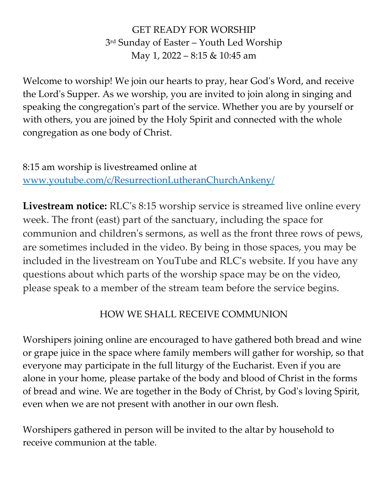### GET READY FOR WORSHIP 3 rd Sunday of Easter – Youth Led Worship May 1, 2022 – 8:15 & 10:45 am

Welcome to worship! We join our hearts to pray, hear God's Word, and receive the Lord's Supper. As we worship, you are invited to join along in singing and speaking the congregation's part of the service. Whether you are by yourself or with others, you are joined by the Holy Spirit and connected with the whole congregation as one body of Christ.

8:15 am worship is livestreamed online at [www.youtube.com/c/ResurrectionLutheranChurchAnkeny/](http://www.youtube.com/c/ResurrectionLutheranChurchAnkeny/)

**Livestream notice:** RLC's 8:15 worship service is streamed live online every week. The front (east) part of the sanctuary, including the space for communion and children's sermons, as well as the front three rows of pews, are sometimes included in the video. By being in those spaces, you may be included in the livestream on YouTube and RLC's website. If you have any questions about which parts of the worship space may be on the video, please speak to a member of the stream team before the service begins.

### HOW WE SHALL RECEIVE COMMUNION

Worshipers joining online are encouraged to have gathered both bread and wine or grape juice in the space where family members will gather for worship, so that everyone may participate in the full liturgy of the Eucharist. Even if you are alone in your home, please partake of the body and blood of Christ in the forms of bread and wine. We are together in the Body of Christ, by God's loving Spirit, even when we are not present with another in our own flesh.

Worshipers gathered in person will be invited to the altar by household to receive communion at the table.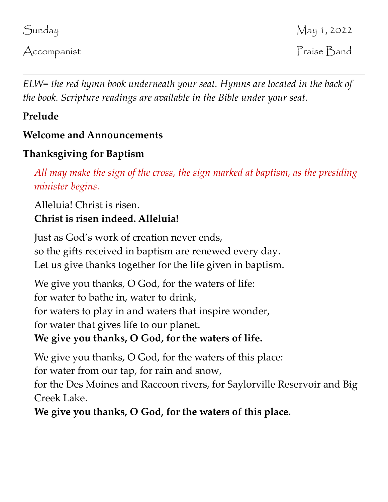

### Accompanist **Praise Band**

*ELW= the red hymn book underneath your seat. Hymns are located in the back of the book. Scripture readings are available in the Bible under your seat.*

# **Prelude**

### **Welcome and Announcements**

# **Thanksgiving for Baptism**

*All may make the sign of the cross, the sign marked at baptism, as the presiding minister begins.*

## Alleluia! Christ is risen. **Christ is risen indeed. Alleluia!**

Just as God's work of creation never ends, so the gifts received in baptism are renewed every day. Let us give thanks together for the life given in baptism.

We give you thanks, O God, for the waters of life: for water to bathe in, water to drink, for waters to play in and waters that inspire wonder, for water that gives life to our planet.

# **We give you thanks, O God, for the waters of life.**

We give you thanks, O God, for the waters of this place: for water from our tap, for rain and snow, for the Des Moines and Raccoon rivers, for Saylorville Reservoir and Big Creek Lake.

**We give you thanks, O God, for the waters of this place.**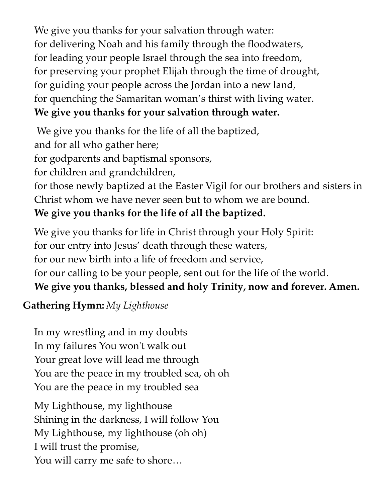We give you thanks for your salvation through water: for delivering Noah and his family through the floodwaters, for leading your people Israel through the sea into freedom, for preserving your prophet Elijah through the time of drought, for guiding your people across the Jordan into a new land, for quenching the Samaritan woman's thirst with living water. **We give you thanks for your salvation through water.**

We give you thanks for the life of all the baptized, and for all who gather here; for godparents and baptismal sponsors, for children and grandchildren, for those newly baptized at the Easter Vigil for our brothers and sisters in Christ whom we have never seen but to whom we are bound. **We give you thanks for the life of all the baptized.**

We give you thanks for life in Christ through your Holy Spirit: for our entry into Jesus' death through these waters, for our new birth into a life of freedom and service, for our calling to be your people, sent out for the life of the world.

# **We give you thanks, blessed and holy Trinity, now and forever. Amen.**

## **Gathering Hymn:** *My Lighthouse*

In my wrestling and in my doubts In my failures You won't walk out Your great love will lead me through You are the peace in my troubled sea, oh oh You are the peace in my troubled sea

My Lighthouse, my lighthouse Shining in the darkness, I will follow You My Lighthouse, my lighthouse (oh oh) I will trust the promise, You will carry me safe to shore…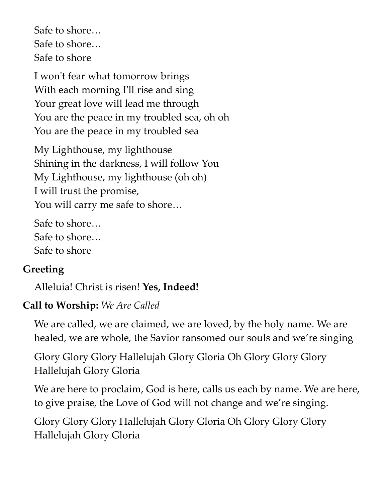Safe to shore… Safe to shore… Safe to shore

I won't fear what tomorrow brings With each morning I'll rise and sing Your great love will lead me through You are the peace in my troubled sea, oh oh You are the peace in my troubled sea

My Lighthouse, my lighthouse Shining in the darkness, I will follow You My Lighthouse, my lighthouse (oh oh) I will trust the promise, You will carry me safe to shore…

Safe to shore… Safe to shore… Safe to shore

## **Greeting**

Alleluia! Christ is risen! **Yes, Indeed!**

## **Call to Worship:** *We Are Called*

We are called, we are claimed, we are loved, by the holy name. We are healed, we are whole, the Savior ransomed our souls and we're singing

Glory Glory Glory Hallelujah Glory Gloria Oh Glory Glory Glory Hallelujah Glory Gloria

We are here to proclaim, God is here, calls us each by name. We are here, to give praise, the Love of God will not change and we're singing.

Glory Glory Glory Hallelujah Glory Gloria Oh Glory Glory Glory Hallelujah Glory Gloria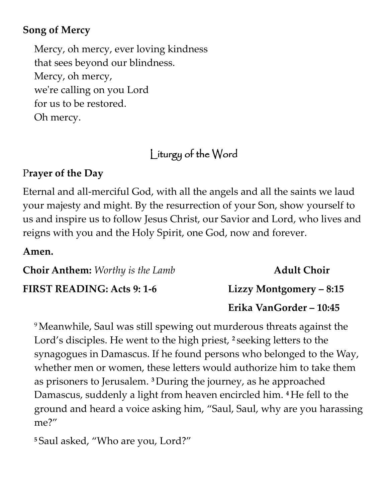### **Song of Mercy**

Mercy, oh mercy, ever loving kindness that sees beyond our blindness. Mercy, oh mercy, we're calling on you Lord for us to be restored. Oh mercy.

# Liturgy of the Word

# P**rayer of the Day**

Eternal and all-merciful God, with all the angels and all the saints we laud your majesty and might. By the resurrection of your Son, show yourself to us and inspire us to follow Jesus Christ, our Savior and Lord, who lives and reigns with you and the Holy Spirit, one God, now and forever.

### **Amen.**

**Choir Anthem:** *Worthy is the Lamb* **Adult Choir FIRST READING: Acts 9: 1-6 Lizzy Montgomery – 8:15**

### **Erika VanGorder – 10:45**

<sup>9</sup>Meanwhile, Saul was still spewing out murderous threats against the Lord's disciples. He went to the high priest, **<sup>2</sup>** seeking letters to the synagogues in Damascus. If he found persons who belonged to the Way, whether men or women, these letters would authorize him to take them as prisoners to Jerusalem. **<sup>3</sup>**During the journey, as he approached Damascus, suddenly a light from heaven encircled him. **<sup>4</sup>** He fell to the ground and heard a voice asking him, "Saul, Saul, why are you harassing me?"

**<sup>5</sup>** Saul asked, "Who are you, Lord?"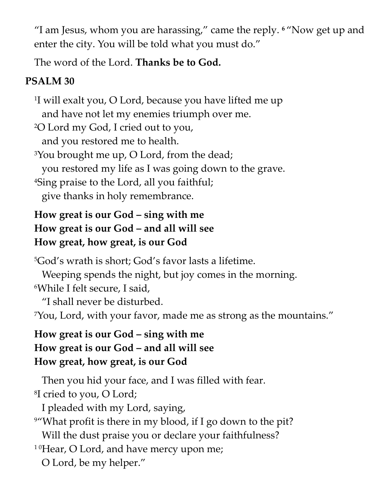"I am Jesus, whom you are harassing," came the reply. **<sup>6</sup>** "Now get up and enter the city. You will be told what you must do."

The word of the Lord. **Thanks be to God.**

## **PSALM 30**

1 I will exalt you, O Lord, because you have lifted me up and have not let my enemies triumph over me. <sup>2</sup>O Lord my God, I cried out to you, and you restored me to health. <sup>3</sup>You brought me up, O Lord, from the dead; you restored my life as I was going down to the grave. <sup>4</sup>Sing praise to the Lord, all you faithful; give thanks in holy remembrance.

## **How great is our God – sing with me How great is our God – and all will see How great, how great, is our God**

<sup>5</sup>God's wrath is short; God's favor lasts a lifetime.

Weeping spends the night, but joy comes in the morning.

<sup>6</sup>While I felt secure, I said,

"I shall never be disturbed.

<sup>7</sup>You, Lord, with your favor, made me as strong as the mountains."

# **How great is our God – sing with me How great is our God – and all will see How great, how great, is our God**

 Then you hid your face, and I was filled with fear.  $^{\rm 8I}$  cried to you, O Lord;

I pleaded with my Lord, saying,

<sup>9</sup>"What profit is there in my blood, if I go down to the pit? Will the dust praise you or declare your faithfulness?

 $10$ Hear, O Lord, and have mercy upon me;

O Lord, be my helper."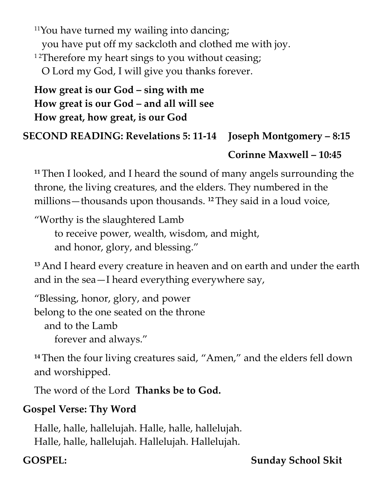<sup>11</sup>You have turned my wailing into dancing; you have put off my sackcloth and clothed me with joy.  $12$ Therefore my heart sings to you without ceasing; O Lord my God, I will give you thanks forever.

**How great is our God – sing with me How great is our God – and all will see How great, how great, is our God**

### **SECOND READING: Revelations 5: 11-14 Joseph Montgomery – 8:15**

### **Corinne Maxwell – 10:45**

**<sup>11</sup>** Then I looked, and I heard the sound of many angels surrounding the throne, the living creatures, and the elders. They numbered in the millions—thousands upon thousands. **<sup>12</sup>** They said in a loud voice,

"Worthy is the slaughtered Lamb

to receive power, wealth, wisdom, and might,

and honor, glory, and blessing."

**<sup>13</sup>** And I heard every creature in heaven and on earth and under the earth and in the sea—I heard everything everywhere say,

"Blessing, honor, glory, and power

belong to the one seated on the throne

and to the Lamb

forever and always."

**<sup>14</sup>** Then the four living creatures said, "Amen," and the elders fell down and worshipped.

The word of the Lord **Thanks be to God.**

## **Gospel Verse: Thy Word**

Halle, halle, hallelujah. Halle, halle, hallelujah. Halle, halle, hallelujah. Hallelujah. Hallelujah.

**GOSPEL: Sunday School Skit**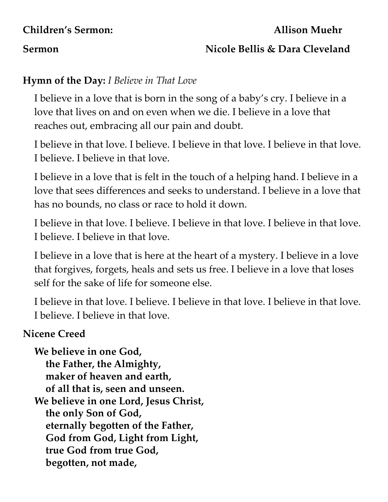### **Children's Sermon: Allison Muehr**

### **Sermon Nicole Bellis & Dara Cleveland**

### **Hymn of the Day:** *I Believe in That Love*

I believe in a love that is born in the song of a baby's cry. I believe in a love that lives on and on even when we die. I believe in a love that reaches out, embracing all our pain and doubt.

I believe in that love. I believe. I believe in that love. I believe in that love. I believe. I believe in that love.

I believe in a love that is felt in the touch of a helping hand. I believe in a love that sees differences and seeks to understand. I believe in a love that has no bounds, no class or race to hold it down.

I believe in that love. I believe. I believe in that love. I believe in that love. I believe. I believe in that love.

I believe in a love that is here at the heart of a mystery. I believe in a love that forgives, forgets, heals and sets us free. I believe in a love that loses self for the sake of life for someone else.

I believe in that love. I believe. I believe in that love. I believe in that love. I believe. I believe in that love.

### **Nicene Creed**

**We believe in one God, the Father, the Almighty, maker of heaven and earth, of all that is, seen and unseen. We believe in one Lord, Jesus Christ, the only Son of God, eternally begotten of the Father, God from God, Light from Light, true God from true God, begotten, not made,**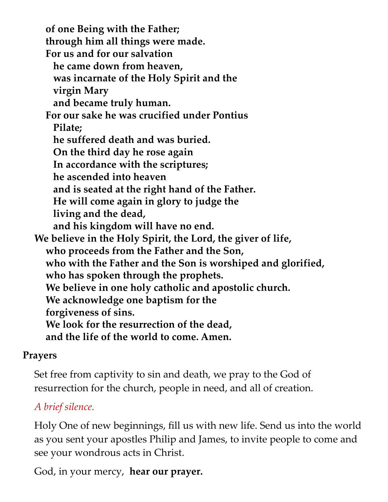**of one Being with the Father; through him all things were made. For us and for our salvation he came down from heaven, was incarnate of the Holy Spirit and the virgin Mary and became truly human. For our sake he was crucified under Pontius Pilate; he suffered death and was buried. On the third day he rose again In accordance with the scriptures; he ascended into heaven and is seated at the right hand of the Father. He will come again in glory to judge the living and the dead, and his kingdom will have no end. We believe in the Holy Spirit, the Lord, the giver of life, who proceeds from the Father and the Son, who with the Father and the Son is worshiped and glorified, who has spoken through the prophets. We believe in one holy catholic and apostolic church. We acknowledge one baptism for the forgiveness of sins. We look for the resurrection of the dead, and the life of the world to come. Amen.**

### **Prayers**

Set free from captivity to sin and death, we pray to the God of resurrection for the church, people in need, and all of creation.

## *A brief silence.*

Holy One of new beginnings, fill us with new life. Send us into the world as you sent your apostles Philip and James, to invite people to come and see your wondrous acts in Christ.

God, in your mercy, **hear our prayer.**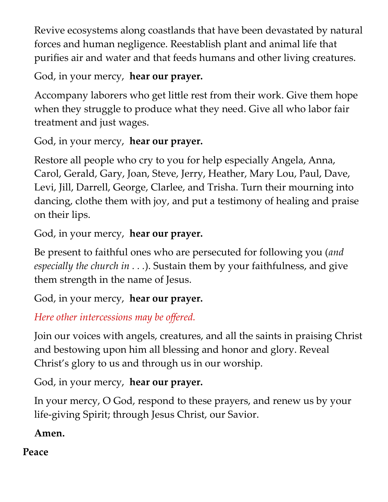Revive ecosystems along coastlands that have been devastated by natural forces and human negligence. Reestablish plant and animal life that purifies air and water and that feeds humans and other living creatures.

God, in your mercy, **hear our prayer.**

Accompany laborers who get little rest from their work. Give them hope when they struggle to produce what they need. Give all who labor fair treatment and just wages.

God, in your mercy, **hear our prayer.**

Restore all people who cry to you for help especially Angela, Anna, Carol, Gerald, Gary, Joan, Steve, Jerry, Heather, Mary Lou, Paul, Dave, Levi, Jill, Darrell, George, Clarlee, and Trisha. Turn their mourning into dancing, clothe them with joy, and put a testimony of healing and praise on their lips.

God, in your mercy, **hear our prayer.**

Be present to faithful ones who are persecuted for following you (*and especially the church in . . .*). Sustain them by your faithfulness, and give them strength in the name of Jesus.

God, in your mercy, **hear our prayer.**

*Here other intercessions may be offered.*

Join our voices with angels, creatures, and all the saints in praising Christ and bestowing upon him all blessing and honor and glory. Reveal Christ's glory to us and through us in our worship.

God, in your mercy, **hear our prayer.**

In your mercy, O God, respond to these prayers, and renew us by your life-giving Spirit; through Jesus Christ, our Savior.

### **Amen.**

### **Peace**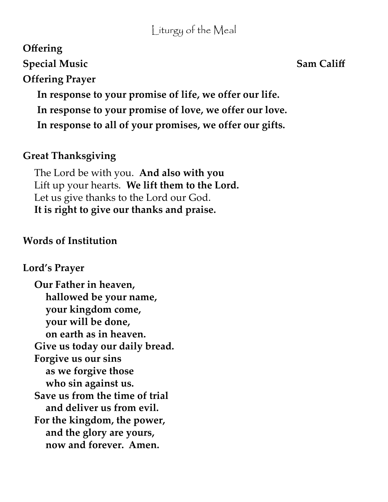**Offering Special Music Sam Califf Offering Prayer In response to your promise of life, we offer our life. In response to your promise of love, we offer our love.**

**In response to all of your promises, we offer our gifts.**

## **Great Thanksgiving**

The Lord be with you. **And also with you** Lift up your hearts. **We lift them to the Lord.** Let us give thanks to the Lord our God. **It is right to give our thanks and praise.**

### **Words of Institution**

### **Lord's Prayer**

**Our Father in heaven, hallowed be your name, your kingdom come, your will be done, on earth as in heaven. Give us today our daily bread. Forgive us our sins as we forgive those who sin against us. Save us from the time of trial and deliver us from evil. For the kingdom, the power, and the glory are yours, now and forever. Amen.**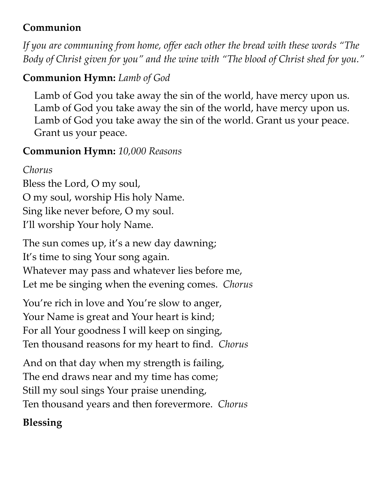### **Communion**

*If you are communing from home, offer each other the bread with these words "The Body of Christ given for you" and the wine with "The blood of Christ shed for you."*

## **Communion Hymn:** *Lamb of God*

Lamb of God you take away the sin of the world, have mercy upon us. Lamb of God you take away the sin of the world, have mercy upon us. Lamb of God you take away the sin of the world. Grant us your peace. Grant us your peace.

## **Communion Hymn:** *10,000 Reasons*

### *Chorus*

Bless the Lord, O my soul, O my soul, worship His holy Name. Sing like never before, O my soul. I'll worship Your holy Name.

The sun comes up, it's a new day dawning; It's time to sing Your song again. Whatever may pass and whatever lies before me, Let me be singing when the evening comes. *Chorus*

You're rich in love and You're slow to anger, Your Name is great and Your heart is kind; For all Your goodness I will keep on singing, Ten thousand reasons for my heart to find. *Chorus*

And on that day when my strength is failing, The end draws near and my time has come; Still my soul sings Your praise unending, Ten thousand years and then forevermore. *Chorus*

# **Blessing**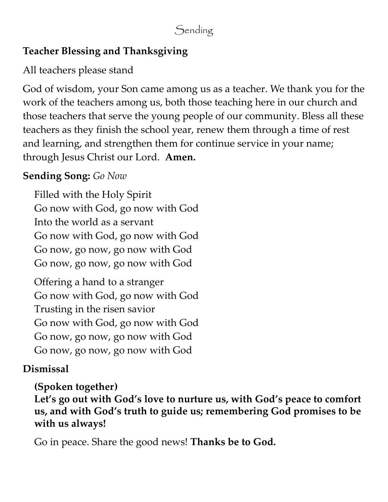# Sending

# **Teacher Blessing and Thanksgiving**

# All teachers please stand

God of wisdom, your Son came among us as a teacher. We thank you for the work of the teachers among us, both those teaching here in our church and those teachers that serve the young people of our community. Bless all these teachers as they finish the school year, renew them through a time of rest and learning, and strengthen them for continue service in your name; through Jesus Christ our Lord. **Amen.**

# **Sending Song:** *Go Now*

Filled with the Holy Spirit Go now with God, go now with God Into the world as a servant Go now with God, go now with God Go now, go now, go now with God Go now, go now, go now with God

Offering a hand to a stranger Go now with God, go now with God Trusting in the risen savior Go now with God, go now with God Go now, go now, go now with God Go now, go now, go now with God

# **Dismissal**

## **(Spoken together)**

**Let's go out with God's love to nurture us, with God's peace to comfort us, and with God's truth to guide us; remembering God promises to be with us always!**

Go in peace. Share the good news! **Thanks be to God.**